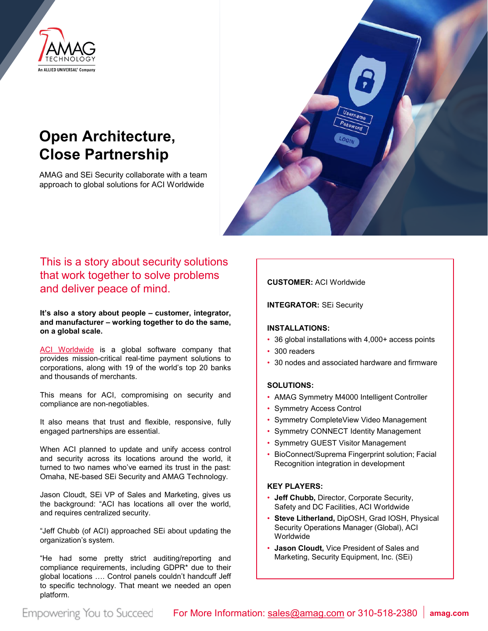

# **Open Architecture, Close Partnership**

AMAG and SEi Security collaborate with a team approach to global solutions for ACI Worldwide



# This is a story about security solutions that work together to solve problems and deliver peace of mind.

**It's also a story about people – customer, integrator, and manufacturer – working together to do the same, on a global scale.**

ACI [Worldwide](https://www.aciworldwide.com/) is a global software company that provides mission-critical real-time payment solutions to corporations, along with 19 of the world's top 20 banks and thousands of merchants.

This means for ACI, compromising on security and compliance are non-negotiables.

It also means that trust and flexible, responsive, fully engaged partnerships are essential.

When ACI planned to update and unify access control and security across its locations around the world, it turned to two names who've earned its trust in the past: Omaha, NE-based SEi Security and AMAG Technology.

Jason Cloudt, SEi VP of Sales and Marketing, gives us the background: "ACI has locations all over the world, and requires centralized security.

"Jeff Chubb (of ACI) approached SEi about updating the organization's system.

"He had some pretty strict auditing/reporting and compliance requirements, including GDPR\* due to their global locations …. Control panels couldn't handcuff Jeff to specific technology. That meant we needed an open platform.

#### **CUSTOMER:** ACI Worldwide

**INTEGRATOR:** SEi Security

#### **INSTALLATIONS:**

- 36 global installations with 4,000+ access points
- 300 readers
- 30 nodes and associated hardware and firmware

#### **SOLUTIONS:**

- AMAG Symmetry M4000 Intelligent Controller
- Symmetry Access Control
- Symmetry CompleteView Video Management
- Symmetry CONNECT Identity Management
- Symmetry GUEST Visitor Management
- BioConnect/Suprema Fingerprint solution; Facial Recognition integration in development

#### **KEY PLAYERS:**

- **Jeff Chubb,** Director, Corporate Security, Safety and DC Facilities, ACI Worldwide
- **Steve Litherland,** DipOSH, Grad IOSH, Physical Security Operations Manager (Global), ACI Worldwide
- **Jason Cloudt,** Vice President of Sales and Marketing, Security Equipment, Inc. (SEi)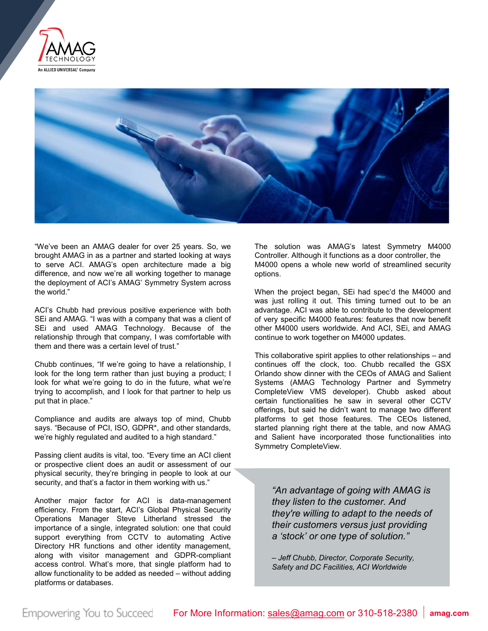



"We've been an AMAG dealer for over 25 years. So, we brought AMAG in as a partner and started looking at ways to serve ACI. AMAG's open architecture made a big difference, and now we're all working together to manage the deployment of ACI's AMAG' Symmetry System across the world."

ACI's Chubb had previous positive experience with both SEi and AMAG. "I was with a company that was a client of SEi and used AMAG Technology. Because of the relationship through that company, I was comfortable with them and there was a certain level of trust."

Chubb continues, "If we're going to have a relationship, I look for the long term rather than just buying a product; I look for what we're going to do in the future, what we're trying to accomplish, and I look for that partner to help us put that in place."

Compliance and audits are always top of mind, Chubb says. "Because of PCI, ISO, GDPR\*, and other standards, we're highly regulated and audited to a high standard."

Passing client audits is vital, too. "Every time an ACI client or prospective client does an audit or assessment of our physical security, they're bringing in people to look at our security, and that's a factor in them working with us."

Another major factor for ACI is data-management efficiency. From the start, ACI's Global Physical Security Operations Manager Steve Litherland stressed the importance of a single, integrated solution: one that could support everything from CCTV to automating Active Directory HR functions and other identity management, along with visitor management and GDPR-compliant access control. What's more, that single platform had to allow functionality to be added as needed – without adding platforms or databases.

The solution was AMAG's latest Symmetry M4000 Controller. Although it functions as a door controller, the M4000 opens a whole new world of streamlined security options.

When the project began, SEi had spec'd the M4000 and was just rolling it out. This timing turned out to be an advantage. ACI was able to contribute to the development of very specific M4000 features: features that now benefit other M4000 users worldwide. And ACI, SEi, and AMAG continue to work together on M4000 updates.

This collaborative spirit applies to other relationships – and continues off the clock, too. Chubb recalled the GSX Orlando show dinner with the CEOs of AMAG and Salient Systems (AMAG Technology Partner and Symmetry CompleteView VMS developer). Chubb asked about certain functionalities he saw in several other CCTV offerings, but said he didn't want to manage two different platforms to get those features. The CEOs listened, started planning right there at the table, and now AMAG and Salient have incorporated those functionalities into Symmetry CompleteView.

*"An advantage of going with AMAG is they listen to the customer. And they're willing to adapt to the needs of their customers versus just providing a 'stock' or one type of solution."*

*– Jeff Chubb, Director, Corporate Security, Safety and DC Facilities, ACI Worldwide*